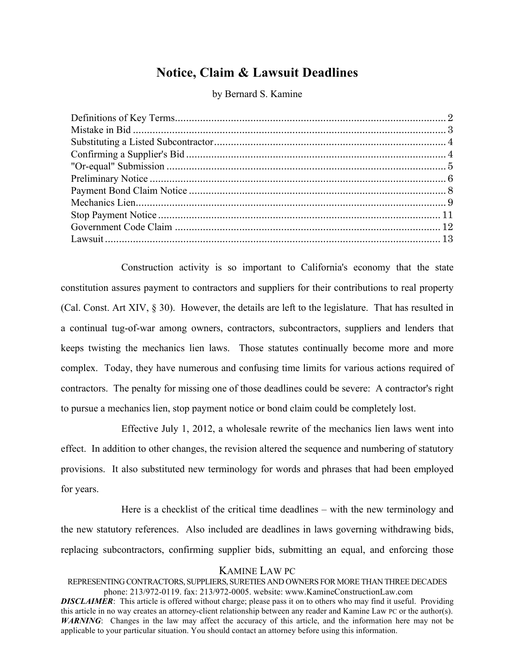# **Notice, Claim & Lawsuit Deadlines**

by Bernard S. Kamine

Construction activity is so important to California's economy that the state constitution assures payment to contractors and suppliers for their contributions to real property (Cal. Const. Art XIV, § 30). However, the details are left to the legislature. That has resulted in a continual tug-of-war among owners, contractors, subcontractors, suppliers and lenders that keeps twisting the mechanics lien laws. Those statutes continually become more and more complex. Today, they have numerous and confusing time limits for various actions required of contractors. The penalty for missing one of those deadlines could be severe: A contractor's right to pursue a mechanics lien, stop payment notice or bond claim could be completely lost.

Effective July 1, 2012, a wholesale rewrite of the mechanics lien laws went into effect. In addition to other changes, the revision altered the sequence and numbering of statutory provisions. It also substituted new terminology for words and phrases that had been employed for years.

Here is a checklist of the critical time deadlines – with the new terminology and the new statutory references. Also included are deadlines in laws governing withdrawing bids, replacing subcontractors, confirming supplier bids, submitting an equal, and enforcing those

### KAMINE LAW PC

REPRESENTING CONTRACTORS, SUPPLIERS, SURETIES AND OWNERS FOR MORE THAN THREE DECADES phone: 213/972-0119. fax: 213/972-0005. website: www.KamineConstructionLaw.com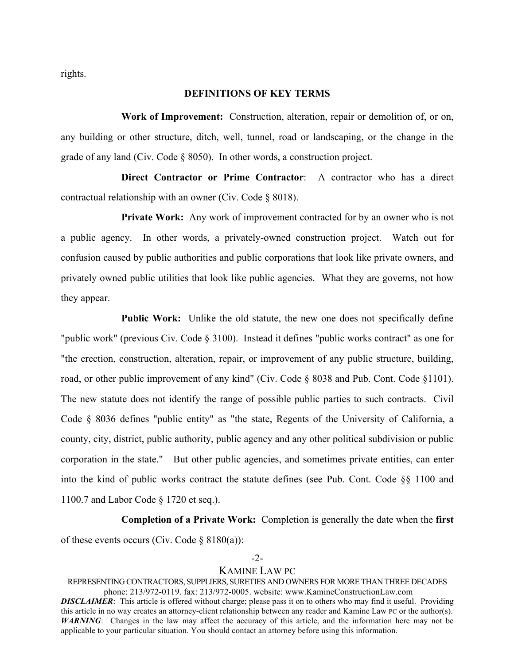rights.

### **DEFINITIONS OF KEY TERMS**

**Work of Improvement:** Construction, alteration, repair or demolition of, or on, any building or other structure, ditch, well, tunnel, road or landscaping, or the change in the grade of any land (Civ. Code § 8050). In other words, a construction project.

**Direct Contractor or Prime Contractor**: A contractor who has a direct contractual relationship with an owner (Civ. Code § 8018).

**Private Work:** Any work of improvement contracted for by an owner who is not a public agency. In other words, a privately-owned construction project. Watch out for confusion caused by public authorities and public corporations that look like private owners, and privately owned public utilities that look like public agencies. What they are governs, not how they appear.

**Public Work:** Unlike the old statute, the new one does not specifically define "public work" (previous Civ. Code § 3100). Instead it defines "public works contract" as one for "the erection, construction, alteration, repair, or improvement of any public structure, building, road, or other public improvement of any kind" (Civ. Code § 8038 and Pub. Cont. Code §1101). The new statute does not identify the range of possible public parties to such contracts. Civil Code § 8036 defines "public entity" as "the state, Regents of the University of California, a county, city, district, public authority, public agency and any other political subdivision or public corporation in the state." But other public agencies, and sometimes private entities, can enter into the kind of public works contract the statute defines (see Pub. Cont. Code §§ 1100 and 1100.7 and Labor Code § 1720 et seq.).

#### **Completion of a Private Work:** Completion is generally the date when the **first**

of these events occurs (Civ. Code  $\S 8180(a)$ ):

#### -2-

### KAMINE LAW PC

REPRESENTING CONTRACTORS, SUPPLIERS, SURETIES AND OWNERS FOR MORE THAN THREE DECADES phone: 213/972-0119. fax: 213/972-0005. website: www.KamineConstructionLaw.com *DISCLAIMER*: This article is offered without charge; please pass it on to others who may find it useful. Providing this article in no way creates an attorney-client relationship between any reader and Kamine Law PC or the author(s). *WARNING*: Changes in the law may affect the accuracy of this article, and the information here may not be applicable to your particular situation. You should contact an attorney before using this information.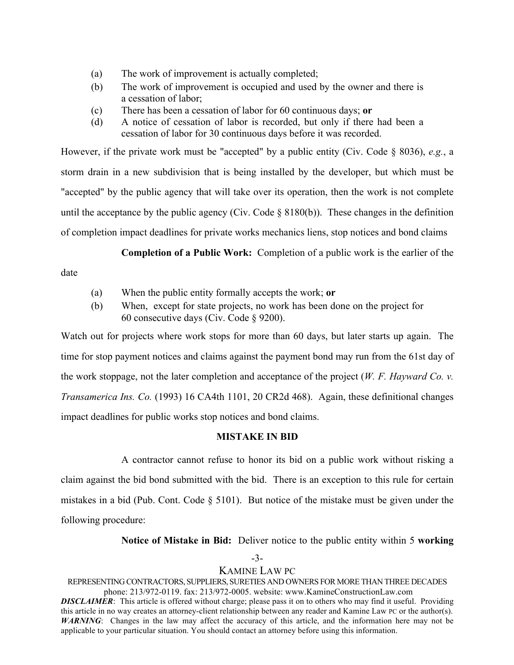- (a) The work of improvement is actually completed;
- (b) The work of improvement is occupied and used by the owner and there is a cessation of labor;
- (c) There has been a cessation of labor for 60 continuous days; **or**
- (d) A notice of cessation of labor is recorded, but only if there had been a cessation of labor for 30 continuous days before it was recorded.

However, if the private work must be "accepted" by a public entity (Civ. Code § 8036), *e.g.*, a storm drain in a new subdivision that is being installed by the developer, but which must be "accepted" by the public agency that will take over its operation, then the work is not complete until the acceptance by the public agency (Civ. Code  $\S$  8180(b)). These changes in the definition of completion impact deadlines for private works mechanics liens, stop notices and bond claims

**Completion of a Public Work:** Completion of a public work is the earlier of the

date

- (a) When the public entity formally accepts the work; **or**
- (b) When, except for state projects, no work has been done on the project for 60 consecutive days (Civ. Code § 9200).

Watch out for projects where work stops for more than 60 days, but later starts up again. The time for stop payment notices and claims against the payment bond may run from the 61st day of the work stoppage, not the later completion and acceptance of the project (*W. F. Hayward Co. v. Transamerica Ins. Co.* (1993) 16 CA4th 1101, 20 CR2d 468). Again, these definitional changes impact deadlines for public works stop notices and bond claims.

# **MISTAKE IN BID**

A contractor cannot refuse to honor its bid on a public work without risking a claim against the bid bond submitted with the bid. There is an exception to this rule for certain mistakes in a bid (Pub. Cont. Code  $\S$  5101). But notice of the mistake must be given under the following procedure:

**Notice of Mistake in Bid:** Deliver notice to the public entity within 5 **working**

-3-

# KAMINE LAW PC

REPRESENTING CONTRACTORS, SUPPLIERS, SURETIES AND OWNERS FOR MORE THAN THREE DECADES phone: 213/972-0119. fax: 213/972-0005. website: www.KamineConstructionLaw.com *DISCLAIMER*: This article is offered without charge; please pass it on to others who may find it useful. Providing

this article in no way creates an attorney-client relationship between any reader and Kamine Law PC or the author(s). *WARNING*: Changes in the law may affect the accuracy of this article, and the information here may not be applicable to your particular situation. You should contact an attorney before using this information.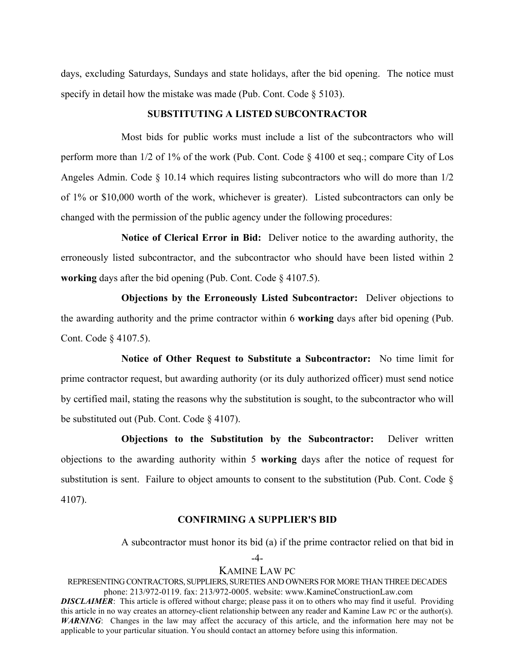days, excluding Saturdays, Sundays and state holidays, after the bid opening. The notice must specify in detail how the mistake was made (Pub. Cont. Code  $\S$  5103).

### **SUBSTITUTING A LISTED SUBCONTRACTOR**

Most bids for public works must include a list of the subcontractors who will perform more than 1/2 of 1% of the work (Pub. Cont. Code § 4100 et seq.; compare City of Los Angeles Admin. Code  $\S$  10.14 which requires listing subcontractors who will do more than  $1/2$ of 1% or \$10,000 worth of the work, whichever is greater). Listed subcontractors can only be changed with the permission of the public agency under the following procedures:

**Notice of Clerical Error in Bid:** Deliver notice to the awarding authority, the erroneously listed subcontractor, and the subcontractor who should have been listed within 2 **working** days after the bid opening (Pub. Cont. Code § 4107.5).

**Objections by the Erroneously Listed Subcontractor:** Deliver objections to the awarding authority and the prime contractor within 6 **working** days after bid opening (Pub. Cont. Code § 4107.5).

**Notice of Other Request to Substitute a Subcontractor:** No time limit for prime contractor request, but awarding authority (or its duly authorized officer) must send notice by certified mail, stating the reasons why the substitution is sought, to the subcontractor who will be substituted out (Pub. Cont. Code § 4107).

**Objections to the Substitution by the Subcontractor:** Deliver written objections to the awarding authority within 5 **working** days after the notice of request for substitution is sent. Failure to object amounts to consent to the substitution (Pub. Cont. Code § 4107).

# **CONFIRMING A SUPPLIER'S BID**

A subcontractor must honor its bid (a) if the prime contractor relied on that bid in

-4-

### KAMINE LAW PC

REPRESENTING CONTRACTORS, SUPPLIERS, SURETIES AND OWNERS FOR MORE THAN THREE DECADES phone: 213/972-0119. fax: 213/972-0005. website: www.KamineConstructionLaw.com *DISCLAIMER*: This article is offered without charge; please pass it on to others who may find it useful. Providing this article in no way creates an attorney-client relationship between any reader and Kamine Law PC or the author(s). *WARNING*: Changes in the law may affect the accuracy of this article, and the information here may not be

applicable to your particular situation. You should contact an attorney before using this information.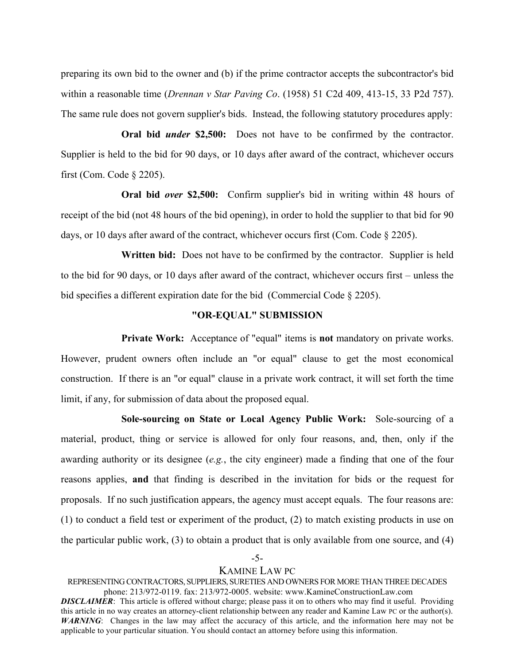preparing its own bid to the owner and (b) if the prime contractor accepts the subcontractor's bid within a reasonable time (*Drennan v Star Paving Co*. (1958) 51 C2d 409, 413-15, 33 P2d 757). The same rule does not govern supplier's bids. Instead, the following statutory procedures apply:

**Oral bid** *under* **\$2,500:** Does not have to be confirmed by the contractor. Supplier is held to the bid for 90 days, or 10 days after award of the contract, whichever occurs first (Com. Code § 2205).

**Oral bid** *over* **\$2,500:** Confirm supplier's bid in writing within 48 hours of receipt of the bid (not 48 hours of the bid opening), in order to hold the supplier to that bid for 90 days, or 10 days after award of the contract, whichever occurs first (Com. Code § 2205).

**Written bid:** Does not have to be confirmed by the contractor. Supplier is held to the bid for 90 days, or 10 days after award of the contract, whichever occurs first – unless the bid specifies a different expiration date for the bid (Commercial Code § 2205).

### **"OR-EQUAL" SUBMISSION**

**Private Work:** Acceptance of "equal" items is **not** mandatory on private works. However, prudent owners often include an "or equal" clause to get the most economical construction. If there is an "or equal" clause in a private work contract, it will set forth the time limit, if any, for submission of data about the proposed equal.

**Sole-sourcing on State or Local Agency Public Work:** Sole-sourcing of a material, product, thing or service is allowed for only four reasons, and, then, only if the awarding authority or its designee (*e.g.*, the city engineer) made a finding that one of the four reasons applies, **and** that finding is described in the invitation for bids or the request for proposals. If no such justification appears, the agency must accept equals. The four reasons are: (1) to conduct a field test or experiment of the product, (2) to match existing products in use on the particular public work, (3) to obtain a product that is only available from one source, and (4)

### -5-

# KAMINE LAW PC

REPRESENTING CONTRACTORS, SUPPLIERS, SURETIES AND OWNERS FOR MORE THAN THREE DECADES phone: 213/972-0119. fax: 213/972-0005. website: www.KamineConstructionLaw.com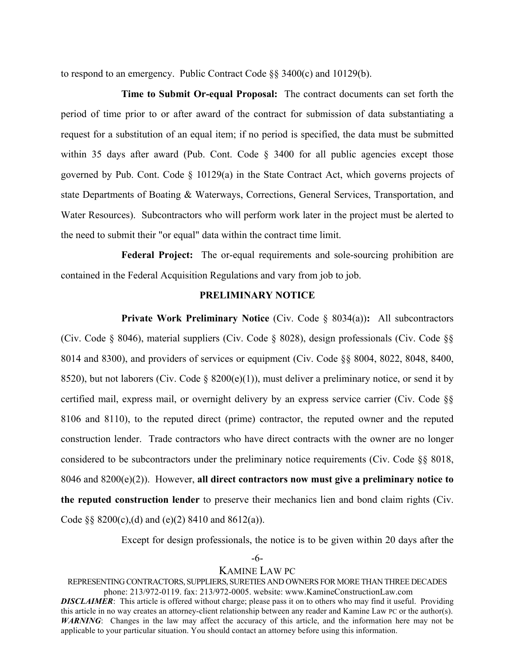to respond to an emergency. Public Contract Code §§ 3400(c) and 10129(b).

**Time to Submit Or-equal Proposal:** The contract documents can set forth the period of time prior to or after award of the contract for submission of data substantiating a request for a substitution of an equal item; if no period is specified, the data must be submitted within 35 days after award (Pub. Cont. Code § 3400 for all public agencies except those governed by Pub. Cont. Code § 10129(a) in the State Contract Act, which governs projects of state Departments of Boating & Waterways, Corrections, General Services, Transportation, and Water Resources). Subcontractors who will perform work later in the project must be alerted to the need to submit their "or equal" data within the contract time limit.

**Federal Project:** The or-equal requirements and sole-sourcing prohibition are contained in the Federal Acquisition Regulations and vary from job to job.

# **PRELIMINARY NOTICE**

**Private Work Preliminary Notice** (Civ. Code § 8034(a))**:** All subcontractors (Civ. Code § 8046), material suppliers (Civ. Code § 8028), design professionals (Civ. Code §§ 8014 and 8300), and providers of services or equipment (Civ. Code §§ 8004, 8022, 8048, 8400, 8520), but not laborers (Civ. Code § 8200(e)(1)), must deliver a preliminary notice, or send it by certified mail, express mail, or overnight delivery by an express service carrier (Civ. Code §§ 8106 and 8110), to the reputed direct (prime) contractor, the reputed owner and the reputed construction lender. Trade contractors who have direct contracts with the owner are no longer considered to be subcontractors under the preliminary notice requirements (Civ. Code §§ 8018, 8046 and 8200(e)(2)). However, **all direct contractors now must give a preliminary notice to the reputed construction lender** to preserve their mechanics lien and bond claim rights (Civ. Code  $\S$ § 8200(c),(d) and (e)(2) 8410 and 8612(a)).

Except for design professionals, the notice is to be given within 20 days after the

-6-

# KAMINE LAW PC

REPRESENTING CONTRACTORS, SUPPLIERS, SURETIES AND OWNERS FOR MORE THAN THREE DECADES phone: 213/972-0119. fax: 213/972-0005. website: www.KamineConstructionLaw.com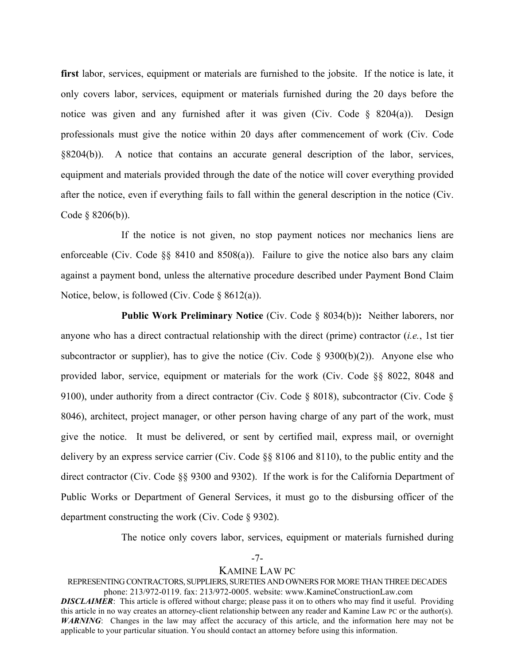**first** labor, services, equipment or materials are furnished to the jobsite. If the notice is late, it only covers labor, services, equipment or materials furnished during the 20 days before the notice was given and any furnished after it was given (Civ. Code § 8204(a)). Design professionals must give the notice within 20 days after commencement of work (Civ. Code §8204(b)). A notice that contains an accurate general description of the labor, services, equipment and materials provided through the date of the notice will cover everything provided after the notice, even if everything fails to fall within the general description in the notice (Civ. Code § 8206(b)).

If the notice is not given, no stop payment notices nor mechanics liens are enforceable (Civ. Code  $\S$ § 8410 and 8508(a)). Failure to give the notice also bars any claim against a payment bond, unless the alternative procedure described under Payment Bond Claim Notice, below, is followed (Civ. Code § 8612(a)).

**Public Work Preliminary Notice** (Civ. Code § 8034(b))**:** Neither laborers, nor anyone who has a direct contractual relationship with the direct (prime) contractor (*i.e.*, 1st tier subcontractor or supplier), has to give the notice (Civ. Code  $\S$  9300(b)(2)). Anyone else who provided labor, service, equipment or materials for the work (Civ. Code §§ 8022, 8048 and 9100), under authority from a direct contractor (Civ. Code § 8018), subcontractor (Civ. Code § 8046), architect, project manager, or other person having charge of any part of the work, must give the notice. It must be delivered, or sent by certified mail, express mail, or overnight delivery by an express service carrier (Civ. Code §§ 8106 and 8110), to the public entity and the direct contractor (Civ. Code §§ 9300 and 9302). If the work is for the California Department of Public Works or Department of General Services, it must go to the disbursing officer of the department constructing the work (Civ. Code § 9302).

The notice only covers labor, services, equipment or materials furnished during

-7-

# KAMINE LAW PC

REPRESENTING CONTRACTORS, SUPPLIERS, SURETIES AND OWNERS FOR MORE THAN THREE DECADES phone: 213/972-0119. fax: 213/972-0005. website: www.KamineConstructionLaw.com *DISCLAIMER*: This article is offered without charge; please pass it on to others who may find it useful. Providing

this article in no way creates an attorney-client relationship between any reader and Kamine Law PC or the author(s). *WARNING*: Changes in the law may affect the accuracy of this article, and the information here may not be applicable to your particular situation. You should contact an attorney before using this information.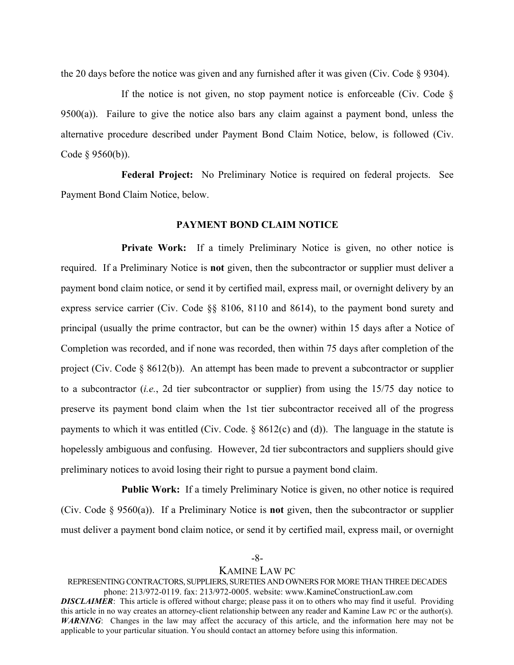the 20 days before the notice was given and any furnished after it was given (Civ. Code § 9304).

If the notice is not given, no stop payment notice is enforceable (Civ. Code  $\delta$ ) 9500(a)). Failure to give the notice also bars any claim against a payment bond, unless the alternative procedure described under Payment Bond Claim Notice, below, is followed (Civ. Code § 9560(b)).

**Federal Project:** No Preliminary Notice is required on federal projects. See Payment Bond Claim Notice, below.

### **PAYMENT BOND CLAIM NOTICE**

**Private Work:** If a timely Preliminary Notice is given, no other notice is required. If a Preliminary Notice is **not** given, then the subcontractor or supplier must deliver a payment bond claim notice, or send it by certified mail, express mail, or overnight delivery by an express service carrier (Civ. Code §§ 8106, 8110 and 8614), to the payment bond surety and principal (usually the prime contractor, but can be the owner) within 15 days after a Notice of Completion was recorded, and if none was recorded, then within 75 days after completion of the project (Civ. Code § 8612(b)). An attempt has been made to prevent a subcontractor or supplier to a subcontractor (*i.e.*, 2d tier subcontractor or supplier) from using the 15/75 day notice to preserve its payment bond claim when the 1st tier subcontractor received all of the progress payments to which it was entitled (Civ. Code. § 8612(c) and (d)). The language in the statute is hopelessly ambiguous and confusing. However, 2d tier subcontractors and suppliers should give preliminary notices to avoid losing their right to pursue a payment bond claim.

**Public Work:** If a timely Preliminary Notice is given, no other notice is required (Civ. Code § 9560(a)). If a Preliminary Notice is **not** given, then the subcontractor or supplier must deliver a payment bond claim notice, or send it by certified mail, express mail, or overnight

-8-

# KAMINE LAW PC

REPRESENTING CONTRACTORS, SUPPLIERS, SURETIES AND OWNERS FOR MORE THAN THREE DECADES phone: 213/972-0119. fax: 213/972-0005. website: www.KamineConstructionLaw.com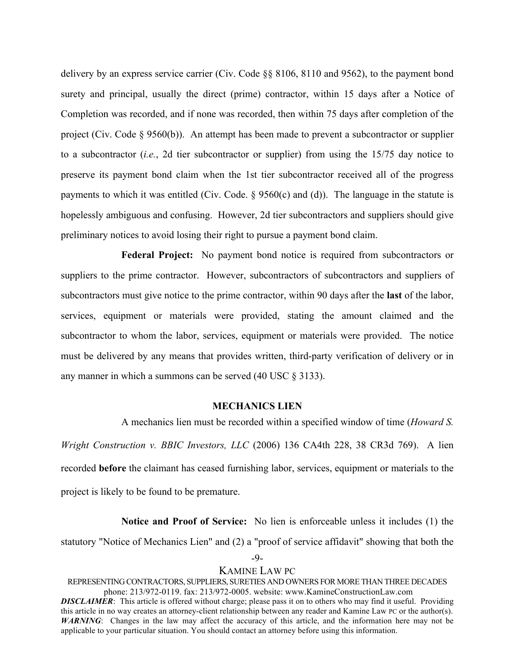delivery by an express service carrier (Civ. Code §§ 8106, 8110 and 9562), to the payment bond surety and principal, usually the direct (prime) contractor, within 15 days after a Notice of Completion was recorded, and if none was recorded, then within 75 days after completion of the project (Civ. Code § 9560(b)). An attempt has been made to prevent a subcontractor or supplier to a subcontractor (*i.e.*, 2d tier subcontractor or supplier) from using the 15/75 day notice to preserve its payment bond claim when the 1st tier subcontractor received all of the progress payments to which it was entitled (Civ. Code.  $\frac{6}{560(c)}$  and (d)). The language in the statute is hopelessly ambiguous and confusing. However, 2d tier subcontractors and suppliers should give preliminary notices to avoid losing their right to pursue a payment bond claim.

**Federal Project:** No payment bond notice is required from subcontractors or suppliers to the prime contractor. However, subcontractors of subcontractors and suppliers of subcontractors must give notice to the prime contractor, within 90 days after the **last** of the labor, services, equipment or materials were provided, stating the amount claimed and the subcontractor to whom the labor, services, equipment or materials were provided. The notice must be delivered by any means that provides written, third-party verification of delivery or in any manner in which a summons can be served (40 USC § 3133).

# **MECHANICS LIEN**

A mechanics lien must be recorded within a specified window of time (*Howard S. Wright Construction v. BBIC Investors, LLC* (2006) 136 CA4th 228, 38 CR3d 769). A lien recorded **before** the claimant has ceased furnishing labor, services, equipment or materials to the project is likely to be found to be premature.

**Notice and Proof of Service:** No lien is enforceable unless it includes (1) the statutory "Notice of Mechanics Lien" and (2) a "proof of service affidavit" showing that both the

-9-

### KAMINE LAW PC

REPRESENTING CONTRACTORS, SUPPLIERS, SURETIES AND OWNERS FOR MORE THAN THREE DECADES phone: 213/972-0119. fax: 213/972-0005. website: www.KamineConstructionLaw.com *DISCLAIMER*: This article is offered without charge; please pass it on to others who may find it useful. Providing this article in no way creates an attorney-client relationship between any reader and Kamine Law PC or the author(s). *WARNING*: Changes in the law may affect the accuracy of this article, and the information here may not be

applicable to your particular situation. You should contact an attorney before using this information.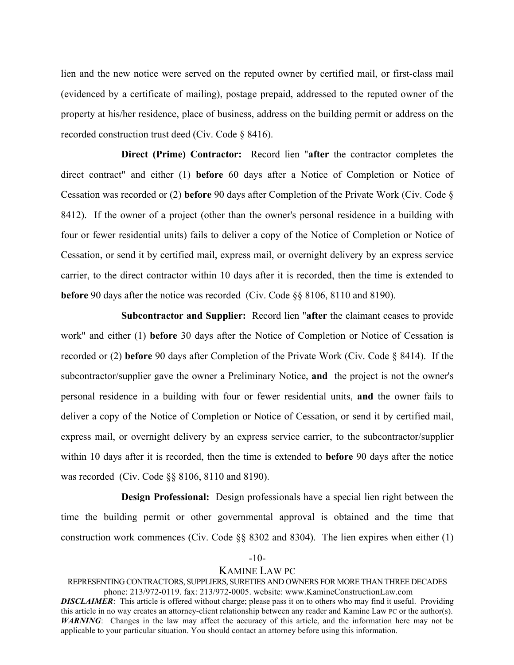lien and the new notice were served on the reputed owner by certified mail, or first-class mail (evidenced by a certificate of mailing), postage prepaid, addressed to the reputed owner of the property at his/her residence, place of business, address on the building permit or address on the recorded construction trust deed (Civ. Code § 8416).

**Direct (Prime) Contractor:** Record lien "**after** the contractor completes the direct contract" and either (1) **before** 60 days after a Notice of Completion or Notice of Cessation was recorded or (2) **before** 90 days after Completion of the Private Work (Civ. Code § 8412). If the owner of a project (other than the owner's personal residence in a building with four or fewer residential units) fails to deliver a copy of the Notice of Completion or Notice of Cessation, or send it by certified mail, express mail, or overnight delivery by an express service carrier, to the direct contractor within 10 days after it is recorded, then the time is extended to **before** 90 days after the notice was recorded (Civ. Code §§ 8106, 8110 and 8190).

**Subcontractor and Supplier:** Record lien "**after** the claimant ceases to provide work" and either (1) **before** 30 days after the Notice of Completion or Notice of Cessation is recorded or (2) **before** 90 days after Completion of the Private Work (Civ. Code § 8414). If the subcontractor/supplier gave the owner a Preliminary Notice, **and** the project is not the owner's personal residence in a building with four or fewer residential units, **and** the owner fails to deliver a copy of the Notice of Completion or Notice of Cessation, or send it by certified mail, express mail, or overnight delivery by an express service carrier, to the subcontractor/supplier within 10 days after it is recorded, then the time is extended to **before** 90 days after the notice was recorded (Civ. Code §§ 8106, 8110 and 8190).

**Design Professional:** Design professionals have a special lien right between the time the building permit or other governmental approval is obtained and the time that construction work commences (Civ. Code §§ 8302 and 8304). The lien expires when either (1)

### -10-

# KAMINE LAW PC

REPRESENTING CONTRACTORS, SUPPLIERS, SURETIES AND OWNERS FOR MORE THAN THREE DECADES phone: 213/972-0119. fax: 213/972-0005. website: www.KamineConstructionLaw.com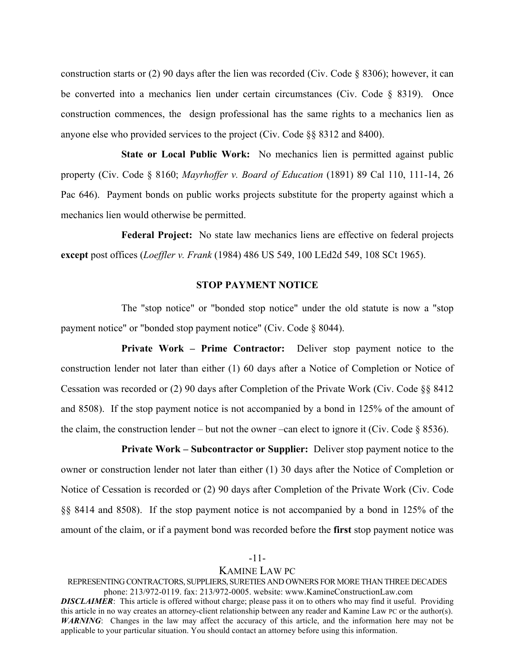construction starts or (2) 90 days after the lien was recorded (Civ. Code § 8306); however, it can be converted into a mechanics lien under certain circumstances (Civ. Code § 8319). Once construction commences, the design professional has the same rights to a mechanics lien as anyone else who provided services to the project (Civ. Code §§ 8312 and 8400).

**State or Local Public Work:** No mechanics lien is permitted against public property (Civ. Code § 8160; *Mayrhoffer v. Board of Education* (1891) 89 Cal 110, 111-14, 26 Pac 646). Payment bonds on public works projects substitute for the property against which a mechanics lien would otherwise be permitted.

**Federal Project:** No state law mechanics liens are effective on federal projects **except** post offices (*Loeffler v. Frank* (1984) 486 US 549, 100 LEd2d 549, 108 SCt 1965).

### **STOP PAYMENT NOTICE**

The "stop notice" or "bonded stop notice" under the old statute is now a "stop payment notice" or "bonded stop payment notice" (Civ. Code § 8044).

**Private Work – Prime Contractor:** Deliver stop payment notice to the construction lender not later than either (1) 60 days after a Notice of Completion or Notice of Cessation was recorded or (2) 90 days after Completion of the Private Work (Civ. Code §§ 8412 and 8508). If the stop payment notice is not accompanied by a bond in 125% of the amount of the claim, the construction lender – but not the owner –can elect to ignore it (Civ. Code  $\S$  8536).

**Private Work – Subcontractor or Supplier:** Deliver stop payment notice to the owner or construction lender not later than either (1) 30 days after the Notice of Completion or Notice of Cessation is recorded or (2) 90 days after Completion of the Private Work (Civ. Code §§ 8414 and 8508). If the stop payment notice is not accompanied by a bond in 125% of the amount of the claim, or if a payment bond was recorded before the **first** stop payment notice was

#### -11-

### KAMINE LAW PC

REPRESENTING CONTRACTORS, SUPPLIERS, SURETIES AND OWNERS FOR MORE THAN THREE DECADES phone: 213/972-0119. fax: 213/972-0005. website: www.KamineConstructionLaw.com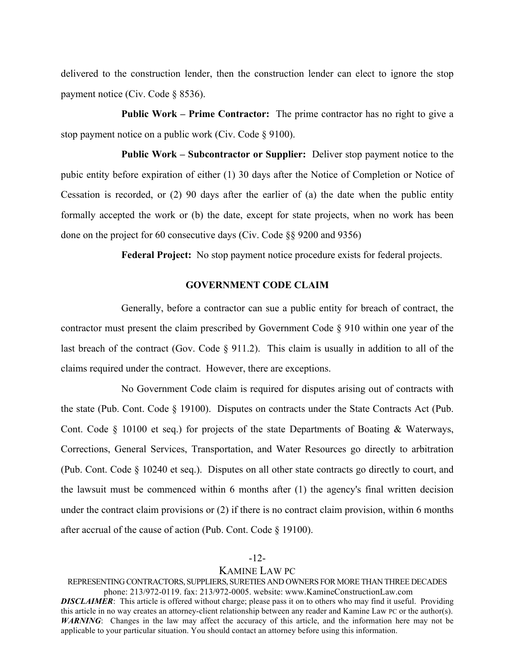delivered to the construction lender, then the construction lender can elect to ignore the stop payment notice (Civ. Code § 8536).

**Public Work – Prime Contractor:** The prime contractor has no right to give a stop payment notice on a public work (Civ. Code § 9100).

**Public Work – Subcontractor or Supplier:** Deliver stop payment notice to the pubic entity before expiration of either (1) 30 days after the Notice of Completion or Notice of Cessation is recorded, or (2) 90 days after the earlier of (a) the date when the public entity formally accepted the work or (b) the date, except for state projects, when no work has been done on the project for 60 consecutive days (Civ. Code §§ 9200 and 9356)

**Federal Project:** No stop payment notice procedure exists for federal projects.

### **GOVERNMENT CODE CLAIM**

Generally, before a contractor can sue a public entity for breach of contract, the contractor must present the claim prescribed by Government Code § 910 within one year of the last breach of the contract (Gov. Code § 911.2). This claim is usually in addition to all of the claims required under the contract. However, there are exceptions.

No Government Code claim is required for disputes arising out of contracts with the state (Pub. Cont. Code § 19100). Disputes on contracts under the State Contracts Act (Pub. Cont. Code § 10100 et seq.) for projects of the state Departments of Boating & Waterways, Corrections, General Services, Transportation, and Water Resources go directly to arbitration (Pub. Cont. Code § 10240 et seq.). Disputes on all other state contracts go directly to court, and the lawsuit must be commenced within 6 months after (1) the agency's final written decision under the contract claim provisions or (2) if there is no contract claim provision, within 6 months after accrual of the cause of action (Pub. Cont. Code § 19100).

### -12-

# KAMINE LAW PC

REPRESENTING CONTRACTORS, SUPPLIERS, SURETIES AND OWNERS FOR MORE THAN THREE DECADES phone: 213/972-0119. fax: 213/972-0005. website: www.KamineConstructionLaw.com *DISCLAIMER*: This article is offered without charge; please pass it on to others who may find it useful. Providing this article in no way creates an attorney-client relationship between any reader and Kamine Law PC or the author(s). *WARNING*: Changes in the law may affect the accuracy of this article, and the information here may not be

applicable to your particular situation. You should contact an attorney before using this information.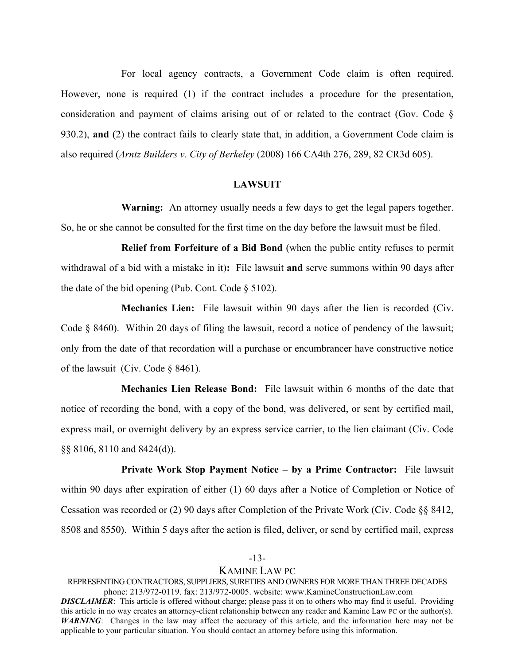For local agency contracts, a Government Code claim is often required. However, none is required (1) if the contract includes a procedure for the presentation, consideration and payment of claims arising out of or related to the contract (Gov. Code § 930.2), **and** (2) the contract fails to clearly state that, in addition, a Government Code claim is also required (*Arntz Builders v. City of Berkeley* (2008) 166 CA4th 276, 289, 82 CR3d 605).

### **LAWSUIT**

**Warning:** An attorney usually needs a few days to get the legal papers together. So, he or she cannot be consulted for the first time on the day before the lawsuit must be filed.

**Relief from Forfeiture of a Bid Bond** (when the public entity refuses to permit withdrawal of a bid with a mistake in it)**:** File lawsuit **and** serve summons within 90 days after the date of the bid opening (Pub. Cont. Code § 5102).

**Mechanics Lien:** File lawsuit within 90 days after the lien is recorded (Civ. Code § 8460). Within 20 days of filing the lawsuit, record a notice of pendency of the lawsuit; only from the date of that recordation will a purchase or encumbrancer have constructive notice of the lawsuit (Civ. Code § 8461).

**Mechanics Lien Release Bond:** File lawsuit within 6 months of the date that notice of recording the bond, with a copy of the bond, was delivered, or sent by certified mail, express mail, or overnight delivery by an express service carrier, to the lien claimant (Civ. Code §§ 8106, 8110 and 8424(d)).

**Private Work Stop Payment Notice – by a Prime Contractor:** File lawsuit within 90 days after expiration of either (1) 60 days after a Notice of Completion or Notice of Cessation was recorded or (2) 90 days after Completion of the Private Work (Civ. Code §§ 8412, 8508 and 8550). Within 5 days after the action is filed, deliver, or send by certified mail, express

### -13-

# KAMINE LAW PC

REPRESENTING CONTRACTORS, SUPPLIERS, SURETIES AND OWNERS FOR MORE THAN THREE DECADES phone: 213/972-0119. fax: 213/972-0005. website: www.KamineConstructionLaw.com *DISCLAIMER*: This article is offered without charge; please pass it on to others who may find it useful. Providing

this article in no way creates an attorney-client relationship between any reader and Kamine Law PC or the author(s). *WARNING*: Changes in the law may affect the accuracy of this article, and the information here may not be applicable to your particular situation. You should contact an attorney before using this information.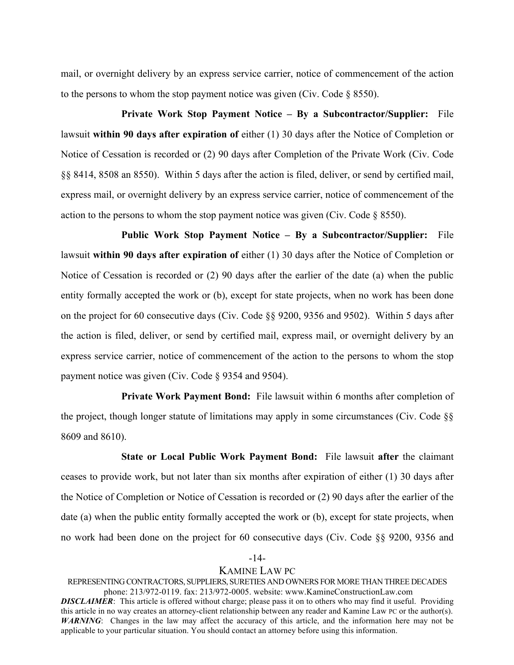mail, or overnight delivery by an express service carrier, notice of commencement of the action to the persons to whom the stop payment notice was given (Civ. Code  $\S$  8550).

**Private Work Stop Payment Notice – By a Subcontractor/Supplier:** File lawsuit **within 90 days after expiration of** either (1) 30 days after the Notice of Completion or Notice of Cessation is recorded or (2) 90 days after Completion of the Private Work (Civ. Code §§ 8414, 8508 an 8550). Within 5 days after the action is filed, deliver, or send by certified mail, express mail, or overnight delivery by an express service carrier, notice of commencement of the action to the persons to whom the stop payment notice was given (Civ. Code  $\S$  8550).

**Public Work Stop Payment Notice – By a Subcontractor/Supplier:** File lawsuit **within 90 days after expiration of** either (1) 30 days after the Notice of Completion or Notice of Cessation is recorded or (2) 90 days after the earlier of the date (a) when the public entity formally accepted the work or (b), except for state projects, when no work has been done on the project for 60 consecutive days (Civ. Code §§ 9200, 9356 and 9502). Within 5 days after the action is filed, deliver, or send by certified mail, express mail, or overnight delivery by an express service carrier, notice of commencement of the action to the persons to whom the stop payment notice was given (Civ. Code § 9354 and 9504).

**Private Work Payment Bond:** File lawsuit within 6 months after completion of the project, though longer statute of limitations may apply in some circumstances (Civ. Code §§ 8609 and 8610).

**State or Local Public Work Payment Bond:** File lawsuit **after** the claimant ceases to provide work, but not later than six months after expiration of either (1) 30 days after the Notice of Completion or Notice of Cessation is recorded or (2) 90 days after the earlier of the date (a) when the public entity formally accepted the work or (b), except for state projects, when no work had been done on the project for 60 consecutive days (Civ. Code §§ 9200, 9356 and

### -14-

# KAMINE LAW PC

REPRESENTING CONTRACTORS, SUPPLIERS, SURETIES AND OWNERS FOR MORE THAN THREE DECADES phone: 213/972-0119. fax: 213/972-0005. website: www.KamineConstructionLaw.com